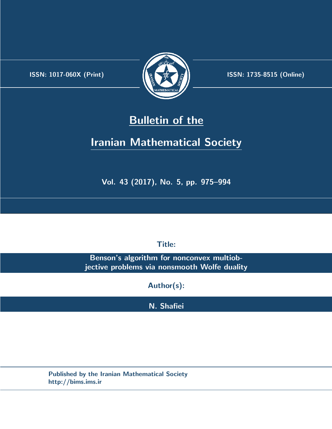.



**ISSN:** 1017-060X (Print) **ISSN:** 1735-8515 (Online)

# **Bulletin of the**

# **Iranian Mathematical Society**

**Vol. 43 (2017), No. 5, pp. 975–994**

**Title:**

**Benson's algorithm for nonconvex multiobjective problems via nonsmooth Wolfe duality**

**Author(s):**

**N. Shafiei**

**Published by the Iranian Mathematical Society http://bims.ims.ir**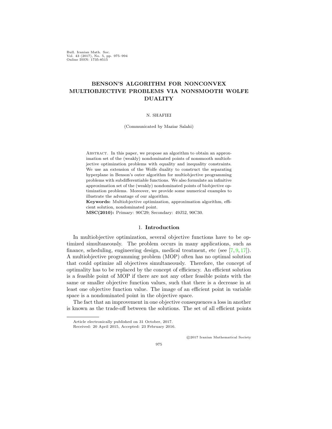Bull. Iranian Math. Soc. Vol. 43 (2017), No. 5, pp. 975–994 Online ISSN: 1735-8515

## **BENSON'S ALGORITHM FOR NONCONVEX MULTIOBJECTIVE PROBLEMS VIA NONSMOOTH WOLFE DUALITY**

#### N. SHAFIEI

(Communicated by Maziar Salahi)

ABSTRACT. In this paper, we propose an algorithm to obtain an approximation set of the (weakly) nondominated points of nonsmooth multiobjective optimization problems with equality and inequality constraints. We use an extension of the Wolfe duality to construct the separating hyperplane in Benson's outer algorithm for multiobjective programming problems with subdifferentiable functions. We also formulate an infinitive approximation set of the (weakly) nondominated points of biobjective optimization problems. Moreover, we provide some numerical examples to illustrate the advantage of our algorithm.

**Keywords:** Multiobjective optimization, approximation algorithm, efficient solution, nondominated point.

**MSC(2010):** Primary: 90C29; Secondary: 49J52, 90C30.

#### 1. **Introduction**

In multiobjective optimization, several objective functions have to be optimized simultaneously. The problem occurs in many applications, such as finance, scheduling, engineering design, medical treatment, etc (see [[7](#page-20-0), [9](#page-20-1), [17\]](#page-20-2)). A multiobjective programming problem (MOP) often has no optimal solution that could optimize all objectives simultaneously. Therefore, the concept of optimality has to be replaced by the concept of efficiency. An efficient solution is a feasible point of MOP if there are not any other feasible points with the same or smaller objective function values, such that there is a decrease in at least one objective function value. The image of an efficient point in variable space is a nondominated point in the objective space.

The fact that an improvement in one objective consequences a loss in another is known as the trade-off between the solutions. The set of all efficient points

*⃝*c 2017 Iranian Mathematical Society

Article electronically published on 31 October, 2017. Received: 20 April 2015, Accepted: 23 February 2016.

<sup>975</sup>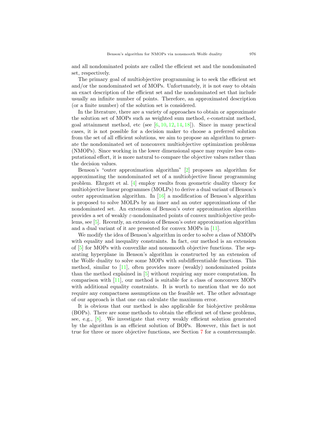and all nondominated points are called the efficient set and the nondominated set, respectively.

The primary goal of multiobjective programming is to seek the efficient set and/or the nondominated set of MOPs. Unfortunately, it is not easy to obtain an exact description of the efficient set and the nondominated set that include usually an infinite number of points. Therefore, an approximated description (or a finite number) of the solution set is considered.

In the literature, there are a variety of approaches to obtain or approximate the solution set of MOPs such as weighted sum method,  $\epsilon$ -constraint method, goal attainment method, etc (see  $[6, 10, 12, 14, 18]$  $[6, 10, 12, 14, 18]$  $[6, 10, 12, 14, 18]$  $[6, 10, 12, 14, 18]$  $[6, 10, 12, 14, 18]$  $[6, 10, 12, 14, 18]$  $[6, 10, 12, 14, 18]$  $[6, 10, 12, 14, 18]$  $[6, 10, 12, 14, 18]$  $[6, 10, 12, 14, 18]$  $[6, 10, 12, 14, 18]$ ). Since in many practical cases, it is not possible for a decision maker to choose a preferred solution from the set of all efficient solutions, we aim to propose an algorithm to generate the nondominated set of nonconvex multiobjective optimization problems (NMOPs). Since working in the lower dimensional space may require less computational effort, it is more natural to compare the objective values rather than the decision values.

Benson's "outer approximation algorithm" [[2\]](#page-19-0) proposes an algorithm for approximating the nondominated set of a multiobjective linear programming problem. Ehrgott et al. [\[4](#page-20-8)] employ results from geometric duality theory for multiobjective linear programmes (MOLPs) to derive a dual variant of Benson's outer approximation algorithm. In  $[16]$  $[16]$  a modification of Benson's algorithm is proposed to solve MOLPs by an inner and an outer approximations of the nondominated set. An extension of Benson's outer approximation algorithm provides a set of weakly *ε*-nondominated points of convex multiobjective problems, see [[5\]](#page-20-10). Recently, an extension of Benson's outer approximation algorithm and a dual variant of it are presented for convex MOPs in [\[11](#page-20-11)].

We modify the idea of Benson's algorithm in order to solve a class of NMOPs with equality and inequality constraints. In fact, our method is an extension of [\[5](#page-20-10)] for MOPs with convexlike and nonsmooth objective functions. The separating hyperplane in Benson's algorithm is constructed by an extension of the Wolfe duality to solve some MOPs with subdifferentiable functions. This method, similar to [[11](#page-20-11)], often provides more (weakly) nondominated points than the method explained in [\[5](#page-20-10)] without requiring any more computation. In comparison with [\[11](#page-20-11)], our method is suitable for a class of nonconvex MOPs with additional equality constraints. It is worth to mention that we do not require any compactness assumptions on the feasible set. The other advantage of our approach is that one can calculate the maximum error.

It is obvious that our method is also applicable for biobjective problems (BOPs). There are some methods to obtain the efficient set of these problems, see, e.g., [\[8](#page-20-12)]. We investigate that every weakly efficient solution generated by the algorithm is an efficient solution of BOPs. However, this fact is not true for three or more objective functions, see Section [7](#page-14-0) for a counterexample.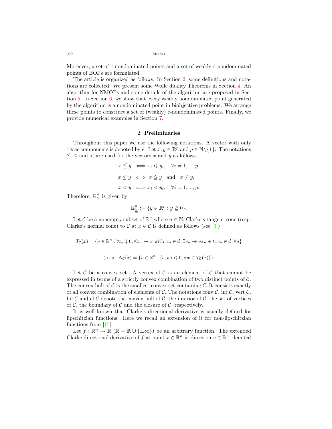Moreover, a set of *ε*-nondominated points and a set of weakly *ε*-nondominated points of BOPs are formulated.

The article is organized as follows. In Section [2,](#page-3-0) some definitions and notations are collected. We present some Wolfe duality Theorems in Section [4](#page-6-0). An algorithm for NMOPs and some details of the algorithm are proposed in Section [5](#page-7-0). In Section [6,](#page-13-0) we show that every weakly nondominated point generated by the algorithm is a nondominated point in biobjective problems. We arrange these points to construct a set of (weakly) *ε*-nondominated points. Finally, we provide numerical examples in Section [7.](#page-14-0)

### 2. **Preliminaries**

<span id="page-3-0"></span>Throughout this paper we use the following notations. A vector with only 1's as components is denoted by *e*. Let  $x, y \in \mathbb{R}^p$  and  $p \in \mathbb{N} \setminus \{1\}$ . The notations  $\leq$ ,  $\leq$  and  $\lt$  are used for the vectors *x* and *y* as follows

$$
x \leq y \iff x_i \leq y_i, \quad \forall i = 1, ..., p,
$$
  
\n
$$
x \leq y \iff x \leq y \text{ and } x \neq y,
$$
  
\n
$$
x < y \iff x_i < y_i, \quad \forall i = 1, ..., p.
$$

Therefore, R *p*  $\sum_{i=1}^{p}$  is given by

$$
\mathbb{R}^p_{\geqq} := \{ y \in \mathbb{R}^p : y \geqq 0 \}.
$$

Let  $C$  be a nonempty subset of  $\mathbb{R}^n$  where  $n \in \mathbb{N}$ . Clarke's tangent cone (resp. Clarke's normal cone) to *C* at  $x \in C$  is defined as follows (see [\[3](#page-19-1)])

$$
T_{\mathcal{C}}(x) = \{v \in \mathbb{R}^n : \forall t_n \downarrow 0, \forall x_n \to x \text{ with } x_n \in \mathcal{C}, \exists v_n \to vx_n + t_n v_n \in \mathcal{C}, \forall n\}
$$
  
(resp.  $N_{\mathcal{C}}(x) = \{v \in \mathbb{R}^n : \langle v, w \rangle \leq 0, \forall w \in T_{\mathcal{C}}(x)\}.$ )

Let  $\mathcal C$  be a convex set. A vertex of  $\mathcal C$  is an element of  $\mathcal C$  that cannot be expressed in terms of a strictly convex combination of two distinct points of *C.* The convex hull of  $\mathcal C$  is the smallest convex set containing  $\mathcal C$ . It consists exactly of all convex combination of elements of  $\mathcal{C}$ . The notations conv  $\mathcal{C}$ , int  $\mathcal{C}$ , vert  $\mathcal{C}$ , bd  $\mathcal C$  and cl  $\mathcal C$  denote the convex hull of  $\mathcal C$ *,* the interior of  $\mathcal C$ *,* the set of vertices of  $C$ , the boundary of  $C$  and the closure of  $C$ , respectively.

It is well known that Clarke's directional derivative is usually defined for lipschitzian functions. Here we recall an extension of it for non-lipschitzian functions from [\[15](#page-20-13)].

Let  $f: \mathbb{R}^n \to \mathbb{R}$  ( $\bar{\mathbb{R}} = \mathbb{R} \cup {\pm \infty}$ ) be an arbitrary function. The extended Clarke directional derivative of *f* at point  $x \in \mathbb{R}^n$  in direction  $v \in \mathbb{R}^n$ , denoted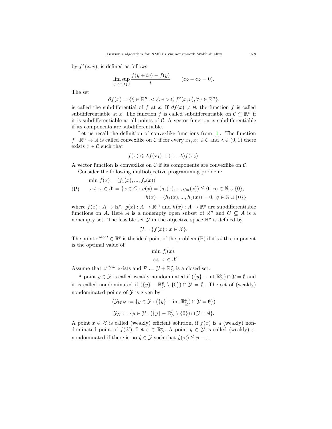by  $f^{\circ}(x; v)$ , is defined as follows

$$
\limsup_{y \to x, t \downarrow 0} \frac{f(y + tv) - f(y)}{t} \qquad (\infty - \infty = 0).
$$

The set

$$
\partial f(x) = \{ \xi \in \mathbb{R}^n : \langle \xi, v \rangle \leq f^{\circ}(x; v), \forall v \in \mathbb{R}^n \},
$$

is called the subdifferential of *f* at *x*. If  $\partial f(x) \neq \emptyset$ , the function *f* is called subdifferentiable at *x*. The function *f* is called subdifferentiable on  $\mathcal{C} \subseteq \mathbb{R}^n$  if it is subdifferentiable at all points of *C.* A vector function is subdifferentiable if its components are subdifferentiable.

Let us recall the definition of convexlike functions from  $[1]$  $[1]$ . The function  $f: \mathbb{R}^n \to \mathbb{R}$  is called convexlike on *C* if for every  $x_1, x_2 \in C$  and  $\lambda \in (0, 1)$  there exists  $x \in \mathcal{C}$  such that

$$
f(x) \leq \lambda f(x_1) + (1 - \lambda)f(x_2).
$$

A vector function is convexlike on *C* if its components are convexlike on *C.* Consider the following multiobjective programming problem:

$$
\min f(x) = (f_1(x), ..., f_p(x))
$$
  
(P)  $s.t. x \in \mathcal{X} = \{x \in C : g(x) = (g_1(x), ..., g_m(x)) \le 0, m \in \mathbb{N} \cup \{0\},\$   
 $h(x) = (h_1(x), ..., h_q(x)) = 0, q \in \mathbb{N} \cup \{0\}\},$ 

where  $f(x) : A \to \mathbb{R}^p$ ,  $g(x) : A \to \mathbb{R}^m$  and  $h(x) : A \to \mathbb{R}^q$  are subdifferentiable functions on *A*. Here *A* is a nonempty open subset of  $\mathbb{R}^n$  and  $C \subseteq A$  is a nonempty set. The feasible set  $\mathcal Y$  in the objective space  $\mathbb R^p$  is defined by

$$
\mathcal{Y} = \{ f(x) : x \in \mathcal{X} \}.
$$

The point  $z^{ideal} \in \mathbb{R}^p$  is the ideal point of the problem (P) if it's *i*-th component is the optimal value of

$$
\min f_i(x).
$$
  
s.t.  $x \in \mathcal{X}$ 

Assume that  $z^{ideal}$  exists and  $\mathcal{P} := \mathcal{Y} + \mathbb{R}^p$  $\sum_{i=1}^{p}$  is a closed set.

A point  $y \in \mathcal{Y}$  is called weakly nondominated if  $({y} - \text{int } \mathbb{R}^p)$ ≧ ) *∩ Y* = *∅* and it is called nondominated if  $({y} - \mathbb{R}^p)$  $\sum_{\geq}^p$  \ {0}) ∩  $\mathcal{Y} = \emptyset$ . The set of (weakly) nondominated points of  $\mathcal Y$  is given by

$$
(\mathcal{Y}_{WN} := \{ y \in \mathcal{Y} : (\{y\} - \text{int } \mathbb{R}^p_{\geq}) \cap \mathcal{Y} = \emptyset \})
$$
  

$$
\mathcal{Y}_N := \{ y \in \mathcal{Y} : (\{y\} - \mathbb{R}^p_{\geq}) \setminus \{0\}) \cap \mathcal{Y} = \emptyset \}.
$$

A point  $x \in \mathcal{X}$  is called (weakly) efficient solution, if  $f(x)$  is a (weakly) nondominated point of  $f(\mathcal{X})$ . Let  $\varepsilon \in \mathbb{R}^p$  $\sum_{\geq}^p$ . A point  $y \in \mathcal{Y}$  is called (weakly)  $\varepsilon$ nondominated if there is no  $\hat{y} \in \mathcal{Y}$  such that  $\hat{y} \leq y - \varepsilon$ .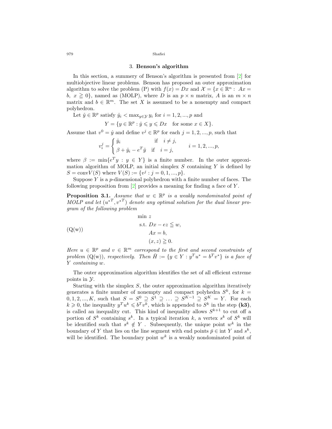#### 3. **Benson's algorithm**

In this section, a summery of Benson's algorithm is presented from [[2\]](#page-19-0) for multiobjective linear problems. Benson has proposed an outer approximation algorithm to solve the problem (P) with  $f(x) = Dx$  and  $\mathcal{X} = \{x \in \mathbb{R}^n : Ax =$  $b, x \ge 0$ , named as (MOLP), where *D* is an  $p \times n$  matrix, *A* is an  $m \times n$ matrix and  $b \in \mathbb{R}^m$ . The set X is assumed to be a nonempty and compact polyhedron.

Let  $\hat{y} \in \mathbb{R}^p$  satisfy  $\hat{y}_i < \max_{y \in \mathcal{Y}} y_i$  for  $i = 1, 2, ..., p$  and

$$
Y = \{ y \in \mathbb{R}^p : \hat{y} \leqslant y \leqslant Dx \quad \text{for some } x \in X \}.
$$

Assume that  $v^0 = \hat{y}$  and define  $v^j \in \mathbb{R}^p$  for each  $j = 1, 2, ..., p$ , such that

$$
v_i^j = \begin{cases} \hat{y}_i & \text{if } i \neq j, \\ \beta + \hat{y}_i - e^T \hat{y} & \text{if } i = j, \end{cases} \qquad i = 1, 2, ..., p,
$$

where  $\beta := \min\{e^T y : y \in Y\}$  is a finite number. In the outer approximation algorithm of MOLP, an initial simplex *S* containing *Y* is defined by  $S = \text{conv}V(S)$  where  $V(S) := \{v^j : j = 0, 1, ..., p\}.$ 

Suppose *Y* is a *p*-dimensional polyhedron with a finite number of faces. The following proposition from [[2\]](#page-19-0) provides a meaning for finding a face of *Y* .

**Proposition 3.1.** *Assume that*  $w \in \mathbb{R}^p$  *is a weakly nondominated point of*  $MOLP$  and let  $(u^*T, v^{*T})$  denote any optimal solution for the dual linear pro*gram of the following problem*

$$
\min z
$$
  
(Q(w))  
 s.t.  $Dx - ez \leq w$ ,  
 $Ax = b$ ,  
 $(x, z) \geq 0$ .

*Here*  $u \in \mathbb{R}^p$  *and*  $v \in \mathbb{R}^m$  *correspond to the first and second constraints of problem*  $(Q(w))$ *, respectively. Then*  $\overline{H} := \{y \in Y : y^T u^* = b^T v^* \}$  *is a face of Y containing w.*

The outer approximation algorithm identifies the set of all efficient extreme points in *Y*.

Starting with the simplex *S*, the outer approximation algorithm iteratively generates a finite number of nonempty and compact polyhedra  $S^k$ , for  $k =$  $0, 1, 2, \ldots, K$ , such that  $S = S^0 \supseteq S^1 \supseteqeq \ldots \supseteq S^{K-1} \supseteq S^K = Y$ . For each  $k \geq 0$ , the inequality  $y^T u^k \leq b^T v^k$ , which is appended to  $S^k$  in the step (k3), is called an inequality cut. This kind of inequality allows  $S^{k+1}$  to cut off a portion of  $S^k$  containing  $s^k$ . In a typical iteration  $k$ , a vertex  $s^k$  of  $S^k$  will be identified such that  $s^k \notin Y$ . Subsequently, the unique point  $w^k$  in the boundary of *Y* that lies on the line segment with end points  $\bar{p} \in \text{int } Y$  and  $s^k$ , will be identified. The boundary point  $w^k$  is a weakly nondominated point of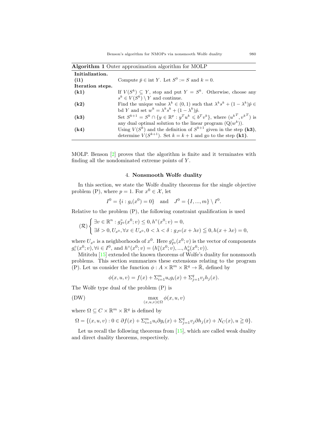| <b>Algorithm 1</b> Outer approximation algorithm for MOLP |                                                                                                      |  |  |  |
|-----------------------------------------------------------|------------------------------------------------------------------------------------------------------|--|--|--|
| Initialization.                                           |                                                                                                      |  |  |  |
| (i1)                                                      | Compute $\bar{p} \in \text{int } Y$ . Let $S^0 := S$ and $k = 0$ .                                   |  |  |  |
| Iteration steps.                                          |                                                                                                      |  |  |  |
| (k1)                                                      | If $V(S^k) \subseteq Y$ , stop and put $Y = S^k$ . Otherwise, choose any                             |  |  |  |
|                                                           | $s^k \in V(S^k) \setminus Y$ and continue.                                                           |  |  |  |
| (k2)                                                      | Find the unique value $\lambda^k \in (0,1)$ such that $\lambda^k s^k + (1 - \lambda^k)\hat{p} \in$   |  |  |  |
|                                                           | bd Y and set $w^k = \lambda^k s^k + (1 - \lambda^k)\hat{p}$ .                                        |  |  |  |
| (k3)                                                      | Set $S^{k+1} = S^k \cap \{y \in \mathbb{R}^p : y^T u^k \leq b^T v^k\}$ , where $(u^{kT}, v^{kT})$ is |  |  |  |
|                                                           | any dual optimal solution to the linear program $(Q(w^k))$ .                                         |  |  |  |
| (k4)                                                      | Using $V(S^k)$ and the definition of $S^{k+1}$ given in the step (k3),                               |  |  |  |
|                                                           | determine $V(S^{k+1})$ . Set $k = k + 1$ and go to the step (k1).                                    |  |  |  |

MOLP. Benson [\[2](#page-19-0)] proves that the algorithm is finite and it terminates with finding all the nondominated extreme points of *Y* .

#### 4. **Nonsmooth Wolfe duality**

<span id="page-6-0"></span>In this section, we state the Wolfe duality theorems for the single objective problem (P), where  $p = 1$ . For  $x^0 \in \mathcal{X}$ , let

$$
I^0 = \{i : g_i(x^0) = 0\}
$$
 and  $J^0 = \{I, ..., m\} \setminus I^0$ .

Relative to the problem (P), the following constraint qualification is used

$$
(\mathcal{R})\begin{cases} \exists v \in \mathbb{R}^n : g_{I^0}^{\circ}(x^0; v) \leq 0, h^{\circ}(x^0; v) = 0, \\ \exists \delta > 0, U_{x^0}, \forall x \in U_{x^0}, 0 < \lambda < \delta : g_{J^0}(x + \lambda v) \leq 0, h(x + \lambda v) = 0, \end{cases}
$$

where  $U_x$ <sup>0</sup> is a neighborhoods of  $x^0$ . Here  $g_{I^0}^{\circ}(x^0; v)$  is the vector of components  $g_i^{\circ}(x^0; v), \forall i \in I^0$ , and  $h^{\circ}(x^0; v) = (h_1^{\circ}(x^0; v), ..., h_q^{\circ}(x^0; v)).$ 

Mititelu  $[15]$  $[15]$  extended the known theorems of Wolfe's duality for nonsmooth problems. This section summarizes these extensions relating to the program (P). Let us consider the function  $\phi: A \times \mathbb{R}^m \times \mathbb{R}^q \to \overline{\mathbb{R}}$ , defined by

$$
\phi(x, u, v) = f(x) + \sum_{i=1}^{m} u_i g_i(x) + \sum_{j=1}^{q} v_j h_j(x).
$$

The Wolfe type dual of the problem (P) is

(DW) 
$$
\max_{(x,u,v)\in\Omega} \phi(x,u,v)
$$

where  $\Omega \subseteq C \times \mathbb{R}^m \times \mathbb{R}^q$  is defined by

$$
\Omega = \{(x, u, v) : 0 \in \partial f(x) + \sum_{i=1}^{m} u_i \partial g_i(x) + \sum_{j=1}^{q} v_j \partial h_j(x) + N_C(x), u \geqq 0\}.
$$

Let us recall the following theorems from  $[15]$  $[15]$ , which are called weak duality and direct duality theorems, respectively.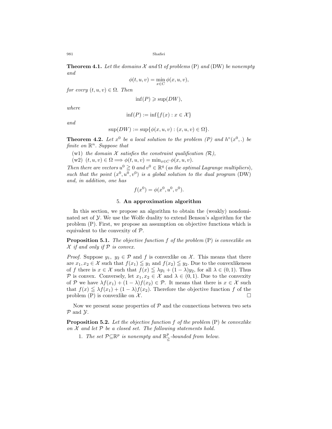<span id="page-7-4"></span>**Theorem 4.1.** Let the domains  $\mathcal X$  and  $\Omega$  of problems (P) and (DW) be nonempty *and*

$$
\phi(t, u, v) = \min_{x \in C} \phi(x, u, v),
$$

*for every*  $(t, u, v) \in \Omega$ *. Then* 

 $\inf(P) \geqslant \sup(DW)$ ,

*where*

$$
\inf(P) := \inf\{f(x) : x \in \mathcal{X}\}\
$$

*and*

$$
\sup(DW) := \sup\{\phi(x, u, v) : (x, u, v) \in \Omega\}.
$$

<span id="page-7-3"></span>**Theorem 4.2.** Let  $x^0$  be a local solution to the problem  $(P)$  and  $h^{\circ}(x^0,.)$  be *finite on* R *<sup>n</sup>. Suppose that*

(w1) *the domain*  $X$  *satisfies the constraint qualification*  $(R)$ *,* 

 $(w2)$   $(t, u, v) \in \Omega \Longrightarrow \phi(t, u, v) = \min_{x \in C} \phi(x, u, v).$ 

*Then there are vectors*  $u^0 \geq 0$  *and*  $v^0 \in \mathbb{R}^q$  (*as the optimal Lagrange multipliers*)*,* such that the point  $(x^0, u^0, v^0)$  is a global solution to the dual program (DW) *and, in addition, one has*

$$
f(x^{0}) = \phi(x^{0}, u^{0}, v^{0}).
$$

#### 5. **An approximation algorithm**

<span id="page-7-0"></span>In this section, we propose an algorithm to obtain the (weakly) nondominated set of *Y.* We use the Wolfe duality to extend Benson's algorithm for the problem (P). First, we propose an assumption on objective functions which is equivalent to the convexity of *P.*

<span id="page-7-1"></span>**Proposition 5.1.** *The objective function f of the problem* (P) *is convexlike on X if and only if P is convex.*

*Proof.* Suppose  $y_1, y_2 \in \mathcal{P}$  and *f* is convexlike on *X*. This means that there are  $x_1, x_2 \in \mathcal{X}$  such that  $f(x_1) \leq y_1$  and  $f(x_2) \leq y_2$ . Due to the convex likeness of *f* there is  $x \in \mathcal{X}$  such that  $f(x) \leq \lambda y_1 + (1 - \lambda)y_2$ , for all  $\lambda \in (0, 1)$ *.* Thus *P* is convex. Conversely, let  $x_1, x_2 \in \mathcal{X}$  and  $\lambda \in (0, 1)$ *.* Due to the convexity of *P* we have  $\lambda f(x_1) + (1 - \lambda)f(x_2) \in \mathcal{P}$ . It means that there is  $x \in \mathcal{X}$  such that  $f(x) \leq \lambda f(x_1) + (1 - \lambda)f(x_2)$ . Therefore the objective function f of the problem (P) is convexlike on  $\mathcal{X}$ .

Now we present some properties of  $P$  and the connections between two sets *P* and *Y.*

<span id="page-7-2"></span>**Proposition 5.2.** *Let the objective function f of the problem* (P) *be convexlike on X and let P be a closed set. The following statements hold.*

1. The set  $\mathcal{P} \subseteq \mathbb{R}^p$  is nonempty and  $\mathbb{R}^p$  $\sum_{i=1}^{p}$ -bounded from below.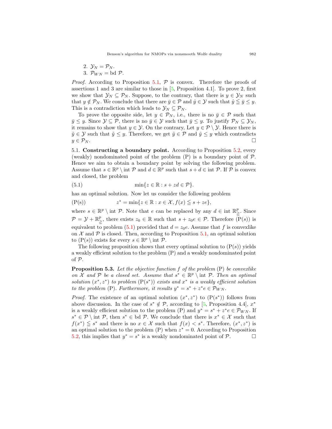$$
2. \ \mathcal{Y}_N = \mathcal{P}_N.
$$

3.  $\mathcal{P}_{WN} = \text{bd } \mathcal{P}.$ 

*Proof.* According to Proposition [5.1,](#page-7-1) *P* is convex. Therefore the proofs of assertions 1 and 3 are similar to those in [\[5](#page-20-10), Proposition 4.1]. To prove 2, first we show that  $\mathcal{Y}_N \subseteq \mathcal{P}_N$ . Suppose, to the contrary, that there is  $y \in \mathcal{Y}_N$  such that  $y \notin \mathcal{P}_N$ . We conclude that there are  $\bar{y} \in \mathcal{P}$  and  $\hat{y} \in \mathcal{Y}$  such that  $\hat{y} \leq \bar{y} \leq y$ . This is a contradiction which leads to  $\mathcal{Y}_N \subseteq \mathcal{P}_N$ .

To prove the opposite side, let  $y \in \mathcal{P}_N$ , i.e., there is no  $\bar{y} \in \mathcal{P}$  such that  $\bar{y} \leq y$ . Since  $\mathcal{Y} \subseteq \mathcal{P}$ , there is no  $\bar{y} \in \mathcal{Y}$  such that  $\bar{y} \leq y$ . To justify  $\mathcal{P}_N \subseteq \mathcal{Y}_N$ , it remains to show that  $y \in \mathcal{Y}$ . On the contrary, Let  $y \in \mathcal{P} \setminus \mathcal{Y}$ . Hence there is *y*  $\tilde{y}$  *∈ Y* such that  $\tilde{y}$  *≤ y.* Therefore, we get  $\tilde{y}$  *∈ P* and  $\tilde{y}$  *≤ y* which contradicts  $y \in \mathcal{P}_N$ .

5.1. **Constructing a boundary point.** According to Proposition [5.2](#page-7-2), every (weakly) nondominated point of the problem (P) is a boundary point of *P.* Hence we aim to obtain a boundary point by solving the following problem. Assume that  $s \in \mathbb{R}^p \setminus \text{int } P$  and  $d \in \mathbb{R}^p$  such that  $s + d \in \text{int } P$ *.* If  $P$  is convex and closed, the problem

<span id="page-8-0"></span>(5.1) 
$$
\min\{z \in \mathbb{R} : s + zd \in \mathcal{P}\}.
$$

has an optimal solution. Now let us consider the following problem

 $(P(s))$  $z^* = \min\{z \in \mathbb{R} : x \in \mathcal{X}, f(x) \leq s + ze\},\$ 

where  $s \in \mathbb{R}^p \setminus \text{int } P$ . Note that *e* can be replaced by any  $d \in \text{int } \mathbb{R}^p$  $\frac{p}{\geq}$ . Since  $\mathcal{P} = \mathcal{Y} + \mathbb{R}^p_{\geq}$  $\sum_{i=1}^{p}$ , there exists  $z_0 \in \mathbb{R}$  such that  $s + z_0 e \in \mathcal{P}$ . Therefore  $(P(s))$  is equivalent to problem ([5.1\)](#page-8-0) provided that  $d = z_0e$ . Assume that f is convex like on  $\mathcal X$  and  $\mathcal P$  is closed. Then, according to Proposition [5.1,](#page-7-1) an optimal solution to  $(P(s))$  exists for every  $s \in \mathbb{R}^p \setminus \text{int } \mathcal{P}$ .

The following proposition shows that every optimal solution to  $(P(s))$  yields a weakly efficient solution to the problem (P) and a weakly nondominated point of *P.*

<span id="page-8-1"></span>**Proposition 5.3.** *Let the objective function f of the problem* (P) *be convexlike on X* and *P be a closed set.* Assume that  $s^* \in \mathbb{R}^p \setminus \text{int } P$ . Then an optimal *solution*  $(x^*, z^*)$  *to problem*  $(P(s^*))$  *exists and*  $x^*$  *is a weakly efficient solution to the problem* (P). Furthermore, it results  $y^* = s^* + z^*e \in \mathcal{P}_{WN}$ .

*Proof.* The existence of an optimal solution  $(x^*, z^*)$  to  $(P(s^*))$  follows from above discussion. In the case of  $s^* \notin \mathcal{P}$ , according to [\[5](#page-20-10), Proposition 4.4],  $x^*$ is a weakly efficient solution to the problem (P) and  $y^* = s^* + z^*e \in \mathcal{P}_{WN}$ . If  $s^* \in \mathcal{P} \setminus \text{int } \mathcal{P}$ , then  $s^* \in \text{bd } \mathcal{P}$ . We conclude that there is  $x^* \in \mathcal{X}$  such that  $f(x^*) \leq s^*$  and there is no  $x \in \mathcal{X}$  such that  $f(x) < s^*$ . Therefore,  $(x^*, z^*)$  is an optimal solution to the problem (P) when *z <sup>∗</sup>* = 0*.* According to Proposition [5.2,](#page-7-2) this implies that  $y^* = s^*$  is a weakly nondominated point of  $\mathcal{P}$ .  $\Box$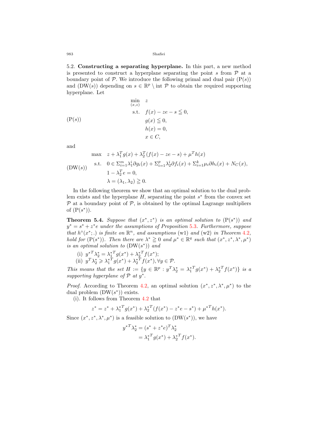5.2. **Constructing a separating hyperplane.** In this part, a new method is presented to construct a hyperplane separating the point  $s$  from  $P$  at a boundary point of  $P$ . We introduce the following primal and dual pair  $(P(s))$ and  $(DW(s))$  depending on  $s \in \mathbb{R}^p \setminus \text{int } P$  to obtain the required supporting hyperplane. Let

$$
\min_{(x,z)} z
$$
\n
$$
\text{s.t.} \quad f(x) - ze - s \leq 0,
$$
\n
$$
g(x) \leq 0,
$$
\n
$$
h(x) = 0,
$$
\n
$$
x \in C,
$$

and

$$
\max \quad z + \lambda_1^T g(x) + \lambda_2^T (f(x) - ze - s) + \mu^T h(x)
$$
\n
$$
\text{s.t.} \quad 0 \in \sum_{i=1}^m \lambda_1^i \partial g_i(x) + \sum_{i=1}^p \lambda_2^i \partial f_i(x) + \sum_{i=1}^k \mu_i \partial h_i(x) + N_C(x),
$$
\n
$$
1 - \lambda_2^T e = 0,
$$
\n
$$
\lambda = (\lambda_1, \lambda_2) \ge 0.
$$

In the following theorem we show that an optimal solution to the dual problem exists and the hyperplane *H,* separating the point *s ∗* from the convex set *P* at a boundary point of *P,* is obtained by the optimal Lagrange multipliers of  $(P(s^*))$ .

<span id="page-9-0"></span>**Theorem 5.4.** Suppose that  $(x^*, z^*)$  is an optimal solution to  $(P(s^*))$  and *y <sup>∗</sup>* = *s <sup>∗</sup>* + *z ∗ e under the assumptions of Proposition* [5.3](#page-8-1)*. Furthermore, suppose that*  $h^{\circ}(x^*;.)$  *is finite on*  $\mathbb{R}^n$ *, and assumptions* (w1) *and* (w2) *in Theorem* [4.2](#page-7-3)*,* hold for  $(P(s^*))$ . Then there are  $\lambda^* \geq 0$  and  $\mu^* \in \mathbb{R}^q$  such that  $(x^*, z^*, \lambda^*, \mu^*)$ *is an optimal solution to* (DW(*s ∗* )) *and*

(i)  $y^{*T}\lambda_2^* = \lambda_1^{*T}g(x^*) + \lambda_2^{*T}f(x^*);$ (ii)  $y^T \lambda_2^* \ge \lambda_1^{*T} g(x^*) + \lambda_2^{*T} f(x^*), \forall y \in \mathcal{P}$ .

This means that the set  $H := \{ y \in \mathbb{R}^p : y^T \lambda_2^* = \lambda_1^{*T} g(x^*) + \lambda_2^{*T} f(x^*) \}$  is a supporting hyperplane of  $P$  at  $y^*$ .

*Proof.* According to Theorem [4.2,](#page-7-3) an optimal solution  $(x^*, z^*, \lambda^*, \mu^*)$  to the dual problem (DW(*s ∗* )) exists.

(i). It follows from Theorem [4.2](#page-7-3) that

$$
z^* = z^* + \lambda_1^{*T} g(x^*) + \lambda_2^{*T} (f(x^*) - z^* e - s^*) + \mu^{*T} h(x^*).
$$

Since  $(x^*, z^*, \lambda^*, \mu^*)$  is a feasible solution to  $(DW(s^*))$ , we have

$$
y^{*T}\lambda_2^* = (s^* + z^*e)^T\lambda_2^*
$$
  
=  $\lambda_1^{*T}g(x^*) + \lambda_2^{*T}f(x^*).$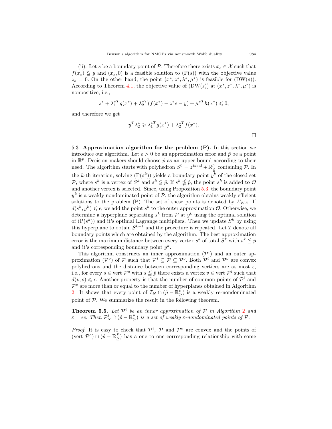(ii). Let *s* be a boundary point of  $P$ *.* Therefore there exists  $x_s \in \mathcal{X}$  such that  $f(x_s) \leq y$  and  $(x_s, 0)$  is a feasible solution to  $(P(s))$  with the objective value  $z_s = 0$ . On the other hand, the point  $(x^*, z^*, \lambda^*, \mu^*)$  is feasible for  $(DW(s))$ . According to Theorem [4.1,](#page-7-4) the objective value of  $(DW(s))$  at  $(x^*, z^*, \lambda^*, \mu^*)$  is nonpositive, i.e.,

$$
z^* + {\lambda_1^*}^T g(x^*) + {\lambda_2^*}^T (f(x^*) - z^* e - y) + {\mu^*}^T h(x^*) \leq 0,
$$

and therefore we get

$$
y^T \lambda_2^* \geq \lambda_1^{*T} g(x^*) + \lambda_2^{*T} f(x^*).
$$

5.3. **Approximation algorithm for the problem (P).** In this section we introduce our algorithm. Let  $\epsilon > 0$  be an approximation error and  $\hat{p}$  be a point in  $\mathbb{R}^p$ . Decision makers should choose  $\hat{p}$  as an upper bound according to their need. The algorithm starts with polyhedron  $S^0 = z^{ideal} + \mathbb{R}^p$  containing  $P$ *.* In ≧ the *k*-th iteration, solving  $(P(s^k))$  yields a boundary point  $y^k$  of the closed set *P*, where  $s^k$  is a vertex of  $S^k$  and  $s^k \leq \hat{p}$ . If  $s^k \nleq \hat{p}$ , the point  $s^k$  is added to  $\mathcal{O}$ and another vertex is selected. Since, using Proposition [5.3,](#page-8-1) the boundary point  $y^k$  is a weakly nondominated point of  $P$ , the algorithm obtains weakly efficient solutions to the problem (P). The set of these points is denoted by  $\mathcal{X}_{WE}$ . If  $d(s^k, y^k) \leq \epsilon$ , we add the point  $s^k$  to the outer approximation *O*. Otherwise, we determine a hyperplane separating  $s^k$  from  $P$  at  $y^k$  using the optimal solution of  $(P(s^k))$  and it's optimal Lagrange multipliers. Then we update  $S^k$  by using this hyperplane to obtain  $S^{k+1}$  and the procedure is repeated. Let  $\mathcal I$  denote all boundary points which are obtained by the algorithm. The best approximation error is the maximum distance between every vertex  $s^k$  of total  $S^k$  with  $s^k \leq \hat{p}$ and it's corresponding boundary point *y k .*

This algorithm constructs an inner approximation  $(\mathcal{P}^i)$  and an outer approximation  $({\cal P}^o)$  of  ${\cal P}$  such that  ${\cal P}^i \subseteq {\cal P} \subseteq {\cal P}^o$ . Both  ${\cal P}^i$  and  ${\cal P}^o$  are convex polyhedrons and the distance between corresponding vertices are at most  $\epsilon$ , i.e., for every  $s \in \text{vert } \mathcal{P}^o$  with  $s \leq \hat{p}$  there exists a vertex  $v \in \text{vert } \mathcal{P}^i$  such that  $d(v, s) \leq \epsilon$ . Another property is that the number of common points of  $\mathcal{P}^i$  and  $P<sup>o</sup>$  are more than or equal to the number of hyperplanes obtained in Algorithm [2](#page-11-0). It shows that every point of  $\mathcal{I}_N \cap (\hat{p} - \mathbb{R}^p)$  $\binom{p}{\geq}$  is a weakly  $\epsilon e$ -nondominated point of *P.* We summarize the result in the following theorem.

<span id="page-10-0"></span>**Theorem 5.5.** Let  $\mathcal{P}^i$  be an inner approximation of  $\mathcal{P}$  in Algorithm [2](#page-11-0) and  $\varepsilon = \epsilon e$ . *Then*  $\mathcal{P}_N^i \cap (\hat{p} - \mathbb{R}^p)$  $\sum_{i=1}^{p}$  *is a set of weakly*  $\varepsilon$ *-nondominated points of*  $P$ *.* 

*Proof.* It is easy to check that  $\mathcal{P}^i$ ,  $\mathcal{P}$  and  $\mathcal{P}^o$  are convex and the points of  $(\text{vert } \mathcal{P}^o) \cap (\hat{p} - \mathbb{R}^P)$  $\geq$ ) has a one to one corresponding relationship with some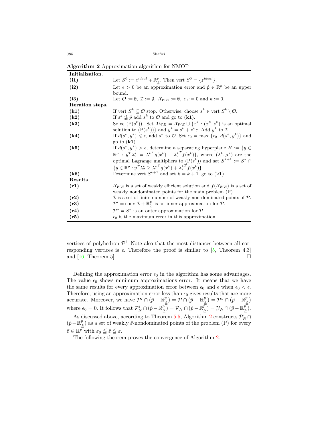<span id="page-11-0"></span>

| <b>Algorithm 2</b> Approximation algorithm for NMOP |                                                                                                                                  |  |  |
|-----------------------------------------------------|----------------------------------------------------------------------------------------------------------------------------------|--|--|
| Initialization.                                     |                                                                                                                                  |  |  |
| (i1)                                                | Let $S^0 := z^{ideal} + \mathbb{R}^p$ . Then vert $S^0 = \{z^{ideal}\}.$                                                         |  |  |
| (i2)                                                | Let $\epsilon > 0$ be an approximation error and $\hat{p} \in \mathbb{R}^p$ be an upper                                          |  |  |
|                                                     | bound.                                                                                                                           |  |  |
| (i3)                                                | Let $\mathcal{O} := \emptyset$ , $\mathcal{I} := \emptyset$ , $\mathcal{X}_{WE} := \emptyset$ , $\epsilon_0 := 0$ and $k := 0$ . |  |  |
| Iteration steps.                                    |                                                                                                                                  |  |  |
| (k1)                                                | If vert $S^k \subseteq \mathcal{O}$ stop. Otherwise, choose $s^k \in \text{vert } S^k \setminus \mathcal{O}$ .                   |  |  |
| (k2)                                                | If $s^k \nleq \hat{p}$ add $s^k$ to $\mathcal{O}$ and go to ( <b>k1</b> ).                                                       |  |  |
| (k3)                                                | Solve $(P(s^k))$ . Set $\mathcal{X}_{WE} = \mathcal{X}_{WE} \cup \{x^k : (x^k, z^k)$ is an optimal                               |  |  |
|                                                     | solution to $(P(s^k))$ and $y^k = s^k + z^k e$ . Add $y^k$ to $\mathcal{I}$ .                                                    |  |  |
| (k4)                                                | If $d(s^k, y^k) \leq \epsilon$ , add $s^k$ to $\mathcal{O}$ . Set $\epsilon_0 = \max \{\epsilon_0, d(s^k, y^k)\}\$ and           |  |  |
|                                                     | go to $(k1)$ .                                                                                                                   |  |  |
| (k5)                                                | If $d(s^k, y^k) > \epsilon$ , determine a separating hyperplane $H := \{y \in$                                                   |  |  |
|                                                     | $\mathbb{R}^p$ : $y^T \lambda_2^k = \lambda_1^{k} g(x^k) + \lambda_2^{k} f(x^k)$ , where $(\lambda^k, \mu^k)$ are the            |  |  |
|                                                     | optimal Lagrange multipliers to $(P(s^k))$ and set $S^{k+1} := S^k \cap$                                                         |  |  |
|                                                     | $\{y \in \mathbb{R}^p : y^T \lambda_2^k > \lambda_1^{k} q(x^k) + \lambda_2^{k} f(x^k) \}.$                                       |  |  |
| (k6)                                                | Determine vert $S^{k+1}$ and set $k = k + 1$ . go to (k1).                                                                       |  |  |
| Results                                             |                                                                                                                                  |  |  |
| (r1)                                                | $\mathcal{X}_{WE}$ is a set of weakly efficient solution and $f(\mathcal{X}_{WE})$ is a set of                                   |  |  |
|                                                     | weakly nondominated points for the main problem (P).                                                                             |  |  |
| (r2)                                                | $\mathcal I$ is a set of finite number of weakly non-dominated points of $\mathcal P$ .                                          |  |  |
| (r3)                                                | $\mathcal{P}^i = \text{conv } \mathcal{I} + \mathbb{R}^p_{\geq}$ is an inner approximation for $\mathcal{P}$ .                   |  |  |
| (r4)                                                | $\mathcal{P}^o = S^k$ is an outer approximation for $\mathcal{P}$ .                                                              |  |  |
| (r5)                                                | $\epsilon_0$ is the maximum error in this approximation.                                                                         |  |  |

**Algorithm 2** Approximation algorithm for NMOP

vertices of polyhedron  $\mathcal{P}^i$ . Note also that the most distances between all corresponding vertices is  $\epsilon$ . Therefore the proof is similar to [\[5](#page-20-10), Theorem 4.3] and  $[16,$  $[16,$  Theorem 5].

Defining the approximation error  $\epsilon_0$  in the algorithm has some advantages. The value  $\epsilon_0$  shows minimum approximations error. It means that we have the same results for every approximation error between  $\epsilon_0$  and  $\epsilon$  when  $\epsilon_0 < \epsilon$ . Therefore, using an approximation error less than  $\epsilon_0$  gives results that are more accurate. Moreover, we have  $\mathcal{P}^i \cap (\hat{p} - \mathbb{R}^p)$  $(\mathbf{p}^p) = \mathcal{P} \cap (\mathbf{p} - \mathbb{R}^p)$  $(\hat{p} - \mathbb{R})^p$ <sub> $\geq$ </sub>  $\geq$   $\cap$   $(\hat{p} - \mathbb{R})^p$  $\binom{p}{\leq}$ where  $\epsilon_0 = 0$ . It follows that  $\mathcal{P}_N^i \cap (\hat{p} - \mathbb{R}^p)$  $\widehat{\mathbb{P}\left[\sum\limits_{i=1}^{p}\right]} = \mathcal{P}_N \cap (\hat{p} - \mathbb{R}^{\bar{p}})$  $(\frac{\bar{p}}{\geq}) = \mathcal{Y}_N \cap (\hat{p} - \mathbb{R}^p)$ ≧ )*.*

As discussed above, according to Theorem [5.5,](#page-10-0) Algorithm [2](#page-11-0) constructs  $\mathcal{P}_N^i \cap \mathcal{P}_N^i$ (ˆ*p−*R *p*  $\sum_{i=1}^{p}$ ) as a set of weakly  $\bar{\varepsilon}$ -nondominated points of the problem (P) for every  $\bar{\varepsilon} \in \mathbb{R}^p$  with  $\varepsilon_0 \leqq \bar{\varepsilon} \leqq \varepsilon$ .

The following theorem proves the convergence of Algorithm [2.](#page-11-0)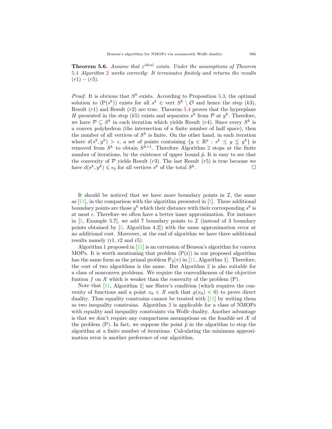**Theorem 5.6.** *Assume that z ideal exists. Under the assumptions of Theorem* [5.4](#page-9-0) *Algorithm* [2](#page-11-0) *works correctly: It terminates finitely and returns the results*  $(r1) - (r5)$ .

*Proof.* It is obvious that  $S^0$  exists. According to Proposition [5.3](#page-8-1), the optimal solution to  $(P(s^k))$  exists for all  $s^k \in \text{vert } S^k \setminus \mathcal{O}$  and hence the step  $(k3)$ , Result (*r*1) and Result (*r*2) are true. Theorem [5.4](#page-9-0) proves that the hyperplane *H* presented in the step (*k*5) exists and separates  $s^k$  from  $P$  at  $y^k$ . Therefore, we have  $\mathcal{P} \subseteq S^k$  in each iteration which yields Result (*r*4). Since every  $S^k$  is a convex polyhedron (the intersection of a finite number of half space), then the number of all vertices of  $S^k$  is finite. On the other hand, in each iteration where  $d(s^k, y^k) > \epsilon$ , a set of points containing  $\{y \in \mathbb{R}^p : s^k \leq y \leq y^k\}$  is removed from  $S^k$  to obtain  $S^{k+1}$ . Therefore Algorithm [2](#page-11-0) stops at the finite number of iterations, by the existence of upper bound  $\hat{p}$ . It is easy to see that the convexity of  $P$  yields Result  $(r3)$ . The last Result  $(r5)$  is true because we have  $d(s^k, y^k) \leq \epsilon_0$  for all vertices  $s^k$  of the total  $S^k$ *.* □

It should be noticed that we have more boundary points in  $I$ , the same as  $[11]$  $[11]$ , in the comparison with the algorithm presented in  $[5]$  $[5]$ . These additional boundary points are those  $y^k$  which their distance with their corresponding  $s^k$  is at most  $\epsilon$ . Therefore we often have a better inner approximation. For instance in  $[5, \text{Example } 5.7]$  $[5, \text{Example } 5.7]$ , we add 7 boundary points to  $\mathcal I$  (instead of 3 boundary points obtained by [\[5](#page-20-10), Algorithm 4.2]) with the same approximation error at no additional cost. Moreover, at the end of algorithm we have three additional results namely (r1, r2 and r5).

Algorithm 1 proposed in  $[11]$  $[11]$  is an extension of Benson's algorithm for convex MOPs. It is worth mentioning that problem  $(P(s))$  in our proposed algorithm has the same form as the primal problem  $P_2(v)$  in [\[11](#page-20-11), Algorithm 1]. Therefore, the cost of two algorithms is the same. But Algorithm [2](#page-11-0) is also suitable for a class of nonconvex problems. We require the convexlikeness of the objective funtion  $f$  on  $\mathcal X$  which is weaker than the convexity of the problem  $(P)$ .

Note that  $[11,$  $[11,$  Algorithm 1 use Slater's condition (which requires the convexity of functions and a point  $x_0 \in \mathcal{X}$  such that  $g(x_0) < 0$  to prove direct duality. Thus equality constrains cannot be treated with [[11\]](#page-20-11) by writing them as two inequality constrains. Algorithm [2](#page-11-0) is applicable for a class of NMOPs with equality and inequality constraints via Wolfe duality. Another advantage is that we don't require any compactness assumptions on the feasible set  $X$  of the problem (P). In fact, we suppose the point  $\hat{p}$  in the algorithm to stop the algorithm at a finite number of iterations. Calculating the minimum approximation error is another preference of our algorithm.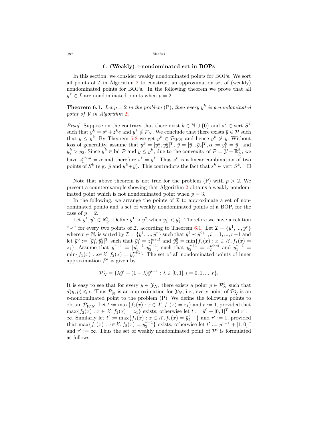### 6. **(Weakly)** *ε***-nondominated set in BOPs**

<span id="page-13-0"></span>In this section, we consider weakly nondominated points for BOPs. We sort all points of  $\mathcal I$  in Algorithm [2](#page-11-0) to construct an approximation set of (weakly) nondominated points for BOPs. In the following theorem we prove that all  $y^k \in \mathcal{I}$  are nondominated points when  $p = 2$ .

## <span id="page-13-1"></span>**Theorem 6.1.** Let  $p = 2$  in the problem  $(P)$ , then every  $y^k$  is a nondominated *point of Y in Algorithm* [2](#page-11-0)*.*

*Proof.* Suppose on the contrary that there exist  $k \in \mathbb{N} \cup \{0\}$  and  $s^k \in \text{vert } S^k$ such that  $y^k = s^k + z^k e$  and  $y^k \notin \mathcal{P}_N$ . We conclude that there exists  $\bar{y} \in \mathcal{P}$  such that  $\bar{y} \leq y^k$ . By Theorem [5.2](#page-7-2) we get  $y^k \in \mathcal{P}_{WN}$  and hence  $y^k \geq \bar{y}$ . Without loss of generality, assume that  $y^k = [y_1^k, y_2^k]^T$ ,  $\bar{y} = [\bar{y}_1, \bar{y}_2]^T$ ,  $\alpha := y_1^k = \bar{y}_1$  and  $y_2^k > \bar{y}_2$ . Since  $y^k \in$  bd  $P$  and  $\bar{y} \leq y^k$ , due to the convexity of  $P = \mathcal{Y} + \mathbb{R}^2$  $\geq$ <sup>2</sup>, we have  $z_1^{ideal} = \alpha$  and therefore  $s^k = y^k$ . Thus  $s^k$  is a linear combination of two points of  $S^k$  (e.g.  $\bar{y}$  and  $y^k + \bar{y}$ ). This contradicts the fact that  $s^k \in \text{vert } S^k$ .  $\Box$ 

Note that above theorem is not true for the problem  $(P)$  with  $p > 2$ . We present a counterexample showing that Algorithm [2](#page-11-0) obtains a weakly nondominated point which is not nondominated point when  $p = 3$ .

In the following, we arrange the points of  $\mathcal I$  to approximate a set of nondominated points and a set of weakly nondominated points of a BOP, for the case of  $p = 2$ .

Let  $y^1, y^2 \in \mathbb{R}^2$  $\frac{2}{\ge}$ . Define  $y^1$  *≺*  $y^2$  when  $y^1$  *<*  $y^2$ . Therefore we have a relation "<sup>*≺*"</sup> for every two points of *I,* according to Theorem [6.1](#page-13-1). Let  $\mathcal{I} = \{y^1, ..., y^r\}$ where  $r \in \mathbb{N}$ , is sorted by  $\mathcal{I} = \{\bar{y}^1, ..., \bar{y}^r\}$  such that  $\bar{y}^i \prec \bar{y}^{i+1}, i = 1, ..., r-1$  and let  $\bar{y}^0 := [\bar{y}_1^0, \bar{y}_2^0]^T$  such that  $\bar{y}_1^0 = z_1^{ideal}$  and  $\bar{y}_2^0 = \min\{f_2(x) : x \in \mathcal{X}, f_1(x) =$  $z_1$ }*.* Assume that  $\bar{y}^{r+1} = [\bar{y}_1^{r+1}, \bar{y}_2^{r+1}]$  such that  $\bar{y}_2^{r+1} = z_2^{ideal}$  and  $\bar{y}_1^{r+1} = z_2^{ideal}$  $\min\{f_1(x): x \in \mathcal{X}, f_2(x) = \bar{y}_2^{r+1}\}.$  The set of all nondominated points of inner approximation  $\mathcal{P}^i$  is given by

$$
\mathcal{P}_N^i = \{\lambda \bar{y}^i + (1 - \lambda)\bar{y}^{i+1} : \lambda \in [0, 1], i = 0, 1, ..., r\}.
$$

It is easy to see that for every  $y \in \mathcal{Y}_N$ , there exists a point  $p \in \mathcal{P}_N^i$  such that  $d(y, p) \leq \epsilon$ . Thus  $\mathcal{P}_N^i$  is an approximation for  $\mathcal{Y}_N$ , i.e., every point of  $\mathcal{P}_N^i$  is an *ε*-nondominated point to the problem (P). We define the following points to obtain  $\mathcal{P}_{WN}^i$ . Let  $t := \max\{f_2(x) : x \in \mathcal{X}, f_1(x) = z_1\}$  and  $r := 1$ , provided that  $\max\{f_2(x) : x \in \mathcal{X}, f_1(x) = z_1\}$  exists; otherwise let  $t := \bar{y}^0 + [0, 1]^T$  and  $r :=$  $\infty$ *.* Similarly let *t*' := max{ $f_1(x)$  :  $x \in \mathcal{X}$ ,  $f_2(x) = \bar{y}_2^{r+1}$ } and  $r' := 1$ , provided that  $\max\{f_1(x) : x \in \mathcal{X}, f_2(x) = \bar{y}_2^{r+1}\}$  exists; otherwise let  $t' := \bar{y}^{r+1} + [1, 0]^T$ and  $r' := \infty$ . Thus the set of weakly nondominated point of  $\mathcal{P}^i$  is formulated as follows.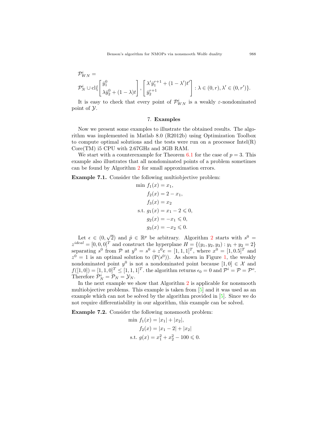$$
\mathcal{P}_{NN}^i =
$$
\n
$$
\mathcal{P}_N^i \cup \text{cl}\left\{\begin{bmatrix} \bar{y}_1^0 \\ \lambda \bar{y}_2^0 + (1-\lambda)t \end{bmatrix}, \begin{bmatrix} \lambda' \bar{y}_1^{r+1} + (1-\lambda')t' \\ \bar{y}_2^{r+1} \end{bmatrix} : \lambda \in (0, r), \lambda' \in (0, r') \right\}.
$$

It is easy to check that every point of  $\mathcal{P}_{WN}^i$  is a weakly  $\varepsilon$ -nondominated point of *Y.*

### 7. **Examples**

<span id="page-14-0"></span>Now we present some examples to illustrate the obtained results. The algorithm was implemented in Matlab 8.0 (R2012b) using Optimization Toolbox to compute optimal solutions and the tests were run on a processor  $Intel(R)$ Core(TM) i5 CPU with 2.67GHz and 3GB RAM.

We start with a counterexample for Theorem  $6.1$  for the case of  $p = 3$ . This example also illustrates that all nondominated points of a problem sometimes can be found by Algorithm [2](#page-11-0) for small approximation errors.

<span id="page-14-1"></span>**Example 7.1.** Consider the following multiobjective problem:

min 
$$
f_1(x) = x_1
$$
,  
\n $f_2(x) = 2 - x_1$ ,  
\n $f_3(x) = x_2$   
\ns.t.  $g_1(x) = x_1 - 2 \le 0$ ,  
\n $g_2(x) = -x_1 \le 0$ ,  
\n $g_3(x) = -x_2 \le 0$ .

Let  $\epsilon \in (0, \sqrt{2})$  $\epsilon \in (0, \sqrt{2})$  $\epsilon \in (0, \sqrt{2})$  and  $\hat{p} \in \mathbb{R}^p$  be arbitrary. Algorithm 2 starts with  $s^0 =$  $z^{ideal} = [0, 0, 0]^T$  and construct the hyperplane  $H = \{(y_1, y_2, y_3) : y_1 + y_2 = 2\}$ separating  $s^0$  from  $P$  at  $y^0 = s^0 + z^0 e = [1, 1, 1]^T$ , where  $x^0 = [1, 0.5]^T$  and  $z^0 = 1$  is an optimal solution to  $(P(s^0))$ . As shown in Figure [1,](#page-15-0) the weakly nondominated point  $y^0$  is not a nondominated point because  $[1,0] \in \mathcal{X}$  and  $f([1,0]) = [1, 1, 0]^T \leq [1, 1, 1]^T$ . the algorithm returns  $\epsilon_0 = 0$  and  $\mathcal{P}^i = \mathcal{P} = \mathcal{P}^o$ . Therefore  $\mathcal{P}_N^i = \mathcal{P}_N = \mathcal{Y}_N$ .

In the next example we show that Algorithm [2](#page-11-0) is applicable for nonsmooth multiobjective problems. This example is taken from [[5](#page-20-10)] and it was used as an example which can not be solved by the algorithm provided in [[5\]](#page-20-10). Since we do not require differentiability in our algorithm, this example can be solved.

<span id="page-14-2"></span>**Example 7.2.** Consider the following nonsmooth problem:

min 
$$
f_1(x) = |x_1| + |x_2|
$$
,  
\n $f_2(x) = |x_1 - 2| + |x_2|$   
\ns.t.  $g(x) = x_1^2 + x_2^2 - 100 \le 0$ .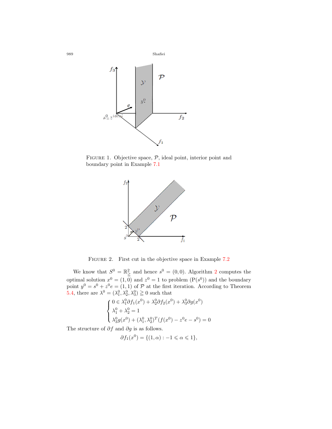

FIGURE 1. Objective space,  $P$ , ideal point, interior point and boundary point in Example [7.1](#page-14-1)

<span id="page-15-1"></span><span id="page-15-0"></span>

Figure 2. First cut in the objective space in Example [7.2](#page-14-2)

We know that  $S^0 = \mathbb{R}^2$  $\frac{2}{\geq}$  $\frac{2}{\geq}$  $\frac{2}{\geq}$  and hence  $s^0 = (0,0)$ . Algorithm 2 computes the optimal solution  $x^0 = (1,0)$  and  $z^0 = 1$  to problem  $(P(s^0))$  and the boundary point  $y^0 = s^0 + z^0 e = (1, 1)$  of  $P$  at the first iteration. According to Theorem [5.4,](#page-9-0) there are  $\lambda^0 = (\lambda_1^0, \lambda_2^0, \lambda_3^0) \ge 0$  such that

$$
\begin{cases}\n0 \in \lambda_1^0 \partial f_1(x^0) + \lambda_2^0 \partial f_2(x^0) + \lambda_3^0 \partial g(x^0) \\
\lambda_1^0 + \lambda_2^0 = 1 \\
\lambda_3^0 g(x^0) + (\lambda_1^0, \lambda_2^0)^T (f(x^0) - z^0 e - s^0) = 0\n\end{cases}
$$

The structure of *∂f* and *∂g* is as follows.

$$
\partial f_1(x^0) = \{ (1, \alpha) : -1 \leq \alpha \leq 1 \},
$$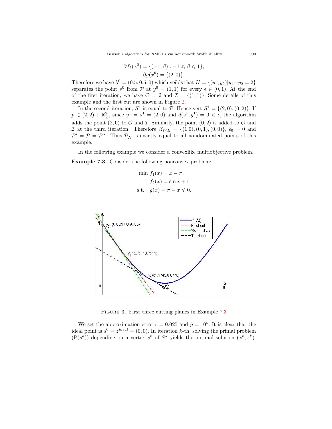$$
\partial f_2(x^0) = \{ (-1, \beta) : -1 \le \beta \le 1 \},
$$
  

$$
\partial g(x^0) = \{ (2, 0) \}.
$$

Therefore we have  $\lambda^0 = (0.5, 0.5, 0)$  which yeilds that  $H = \{(y_1, y_2) | y_1 + y_2 = 2\}$ separates the point  $s^0$  from  $\mathcal{P}$  at  $y^0 = (1,1)$  for every  $\epsilon \in (0,1)$ *.* At the end of the first iteration, we have  $\mathcal{O} = \emptyset$  and  $\mathcal{I} = \{(1,1)\}\$ . Some details of this example and the first cut are shown in Figure [2](#page-15-1).

In the second iteration,  $S^1$  is equal to  $\mathcal{P}$ *.* Hence vert  $S^1 = \{(2,0), (0,2)\}$ *.* If  $\hat{p} \in (2, 2) + \mathbb{R}^2$  $\frac{2}{\leq}$ , since  $y^1 = s^1 = (2, 0)$  and  $d(s^1, y^1) = 0 < \epsilon$ , the algorithm adds the point  $(2, 0)$  to  $\mathcal O$  and  $\mathcal I$ *.* Similarly, the point  $(0, 2)$  is added to  $\mathcal O$  and *I* at the third iteration. Therefore  $\mathcal{X}_{WE} = \{(1,0), (0,1), (0,0)\}, \epsilon_0 = 0$  and  $\mathcal{P}^i = \mathcal{P} = \mathcal{P}^o$ . Thus  $\mathcal{P}^i_N$  is exactly equal to all nondominated points of this example.

In the following example we consider a convexlike multiobjective problem.

<span id="page-16-0"></span>**Example 7.3.** Consider the following nonconvex problem:

$$
\min f_1(x) = x - \pi,
$$
  
\n
$$
f_2(x) = \sin x + 1
$$
  
\n
$$
\text{s.t.} \quad g(x) = \pi - x \leq 0.
$$



<span id="page-16-1"></span>FIGURE 3. First three cutting planes in Example [7.3](#page-16-0)

We set the approximation error  $\epsilon = 0.025$  and  $\hat{p} = 10^5$ . It is clear that the ideal point is  $s^0 = z^{ideal} = (0,0)$ . In iteration *k*-th, solving the primal problem  $(P(s^k))$  depending on a vertex  $s^k$  of  $S^k$  yields the optimal solution  $(x^k, z^k)$ .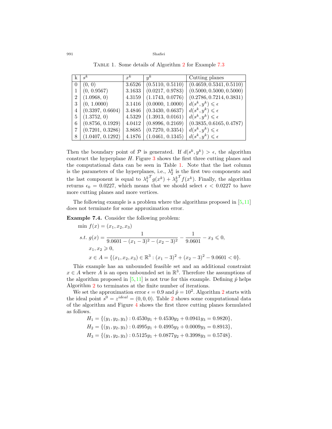Table 1. Some details of Algorithm [2](#page-11-0) for Example [7.3](#page-16-0)

|                | $s^k$            | $x^k$  | $y^k$            | Cutting planes                   |
|----------------|------------------|--------|------------------|----------------------------------|
| $\Omega$       | (0, 0)           | 3.6526 | (0.5110, 0.5110) | (0.4659, 0.5341, 0.5110)         |
|                | (0, 0.9567)      | 3.1633 | (0.0217, 0.9783) | (0.5000, 0.5000, 0.5000)         |
| $\overline{2}$ | (1.0968, 0)      | 4.3159 | (1.1743, 0.0776) | (0.2786, 0.7214, 0.3831)         |
| 3              | (0, 1.0000)      | 3.1416 | (0.0000, 1.0000) | $d(s^k, y^k) \leqslant \epsilon$ |
| $\overline{4}$ | (0.3397, 0.6604) | 3.4846 | (0.3430, 0.6637) | $d(s^k, y^k) \leqslant \epsilon$ |
| 5              | (1.3752, 0)      | 4.5329 | (1.3913, 0.0161) | $d(s^k, y^k) \leqslant \epsilon$ |
| 6              | (0.8756, 0.1929) | 4.0412 | (0.8996, 0.2169) | (0.3835, 0.6165, 0.4787)         |
|                | (0.7201, 0.3286) | 3.8685 | (0.7270, 0.3354) | $d(s^k, y^k) \leqslant \epsilon$ |
| 8              | (1.0407, 0.1292) | 4.1876 | (1.0461, 0.1345) | $d(s^k, y^k) \leqslant \epsilon$ |

Then the boundary point of  $P$  is generated. If  $d(s^k, y^k) > \epsilon$ , the algorithm construct the hyperplane *H.* Figure [3](#page-16-1) shows the first three cutting planes and the computational data can be seen in Table [1](#page-17-0). Note that the last column is the parameters of the hyperplanes, i.e.,  $\lambda_2^k$  is the first two components and the last component is equal to  $\lambda_1^k$  $T_g(x^k) + \lambda_2^k$  $\int f(x^k)$ . Finally, the algorithm returns  $\epsilon_0 = 0.0227$ , which means that we should select  $\epsilon < 0.0227$  to have more cutting planes and more vertices.

The following example is a problem where the algorithms proposed in [[5,](#page-20-10)[11](#page-20-11)] does not terminate for some approximation error.

<span id="page-17-1"></span>**Example 7.4.** Consider the following problem:

$$
\begin{aligned}\n\min f(x) &= (x_1, x_2, x_3) \\
\text{s.t. } g(x) &= \frac{1}{9.0601 - (x_1 - 3)^2 - (x_2 - 3)^2} - \frac{1}{9.0601} - x_3 \le 0, \\
x_1, x_2 &\ge 0, \\
x \in A &= \{(x_1, x_2, x_3) \in \mathbb{R}^3 : (x_1 - 3)^2 + (x_2 - 3)^2 - 9.0601 < 0\}.\n\end{aligned}
$$

This example has an unbounded feasible set and an additional constraint  $x \in A$  where *A* is an open unbounded set in  $\mathbb{R}^3$ . Therefore the assumptions of the algorithm proposed in  $[5,11]$  $[5,11]$  $[5,11]$  $[5,11]$  is not true for this example. Defining  $\hat{p}$  helps Algorithm [2](#page-11-0) to terminates at the finite number of iterations.

We set the approximation error  $\epsilon = 0.9$  and  $\hat{p} = 10^2$  $\hat{p} = 10^2$ . Algorithm 2 starts with the ideal point  $s^0 = z^{ideal} = (0, 0, 0)$ . Table [2](#page-18-0) shows some computational data of the algorithm and Figure [4](#page-18-1) shows the first three cutting planes formulated as follows.

$$
H_1 = \{(y_1, y_2, y_3) : 0.4530y_1 + 0.4530y_2 + 0.0941y_3 = 0.9820\},
$$
  
\n
$$
H_2 = \{(y_1, y_2, y_3) : 0.4995y_1 + 0.4995y_2 + 0.0009y_3 = 0.8913\},
$$
  
\n
$$
H_3 = \{(y_1, y_2, y_3) : 0.5125y_1 + 0.0877y_2 + 0.3998y_3 = 0.5748\}.
$$

<span id="page-17-0"></span>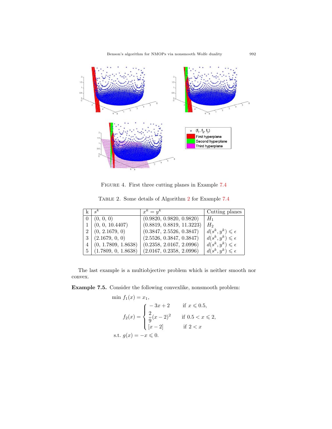Benson's algorithm for NMOPs via nonsmooth Wolfe duality 992



<span id="page-18-1"></span>Figure 4. First three cutting planes in Example [7.4](#page-17-1)

Table 2. Some details of Algorithm [2](#page-11-0) for Example [7.4](#page-17-1)

<span id="page-18-0"></span>

|                | $s^k$               | $x^k = y^k$               | Cutting planes                   |
|----------------|---------------------|---------------------------|----------------------------------|
|                | 0   (0, 0, 0)       | (0.9820, 0.9820, 0.9820)  | $H_1$                            |
|                | (0, 0, 10.4407)     | (0.8819, 0.8819, 11.3223) | $H_2$                            |
| 2 <sup>1</sup> | (0, 2.1679, 0)      | (0.3847, 2.5526, 0.3847)  | $d(s^k, y^k) \leqslant \epsilon$ |
| 3 <sup>1</sup> | (2.1679, 0, 0)      | (2.5526, 0.3847, 0.3847)  | $d(s^k, y^k) \leqslant \epsilon$ |
| $\overline{4}$ | (0, 1.7809, 1.8638) | (0.2358, 2.0167, 2.0996)  | $d(s^k, y^k) \leqslant \epsilon$ |
| $5^{\circ}$    | (1.7809, 0, 1.8638) | (2.0167, 0.2358, 2.0996)  | $d(s^k, y^k) \leqslant \epsilon$ |

The last example is a multiobjective problem which is neither smooth nor convex.

<span id="page-18-2"></span>**Example 7.5.** Consider the following convexlike, nonsmooth problem:

$$
\min f_1(x) = x_1,
$$
  
\n
$$
f_2(x) = \begin{cases}\n-3x + 2 & \text{if } x \le 0.5, \\
\frac{2}{9}(x - 2)^2 & \text{if } 0.5 < x \le 2, \\
[x - 2] & \text{if } 2 < x\n\end{cases}
$$
  
\n
$$
\text{s.t. } g(x) = -x \le 0.
$$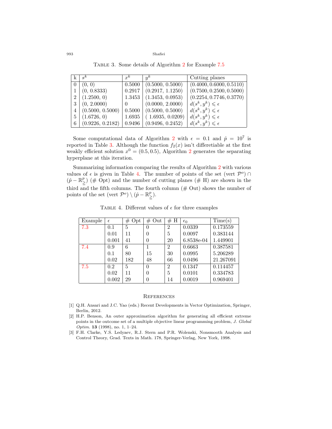Table 3. Some details of Algorithm [2](#page-11-0) for Example [7.5](#page-18-2)

<span id="page-19-3"></span>

|                | $s^k$            | $x^k$                | $u^k$                          | Cutting planes                   |
|----------------|------------------|----------------------|--------------------------------|----------------------------------|
| $\Omega$       | (0, 0)           | 0.5000               | (0.5000, 0.5000)               | (0.4000, 0.6000, 0.5110)         |
|                | (0, 0.8333)      | 0.2917               | (0.2917, 1.1250)               | (0.7500, 0.2500, 0.5000)         |
| $\overline{2}$ | (1.2500, 0)      | 1.3453               | (1.3453, 0.0953)               | (0.2254, 0.7746, 0.3770)         |
| 3              | (0, 2.0000)      | $\left( \right)$     | (0.0000, 2.0000)               | $d(s^k, y^k) \leqslant \epsilon$ |
| 4              | (0.5000, 0.5000) |                      | $0.5000 \mid (0.5000, 0.5000)$ | $d(s^k, y^k) \leqslant \epsilon$ |
| 5              | (1.6726, 0)      | 1.6935               | (1.6935, 0.0209)               | $d(s^k, y^k) \leqslant \epsilon$ |
| 6              | (0.9226, 0.2182) | $\vert 0.9496 \vert$ | (0.9496, 0.2452)               | $d(s^k, y^k) \leqslant \epsilon$ |

Some computational data of Algorithm [2](#page-11-0) with  $\epsilon = 0.1$  and  $\hat{p} = 10^7$  is reported in Table [3.](#page-19-3) Although the function  $f_2(x)$  isn't differetiable at the first weakly efficient solution  $x^0 = (0.5, 0.5)$ , Algorithm [2](#page-11-0) generates the separating hyperplane at this iteration.

Summarizing information comparing the results of Algorithm [2](#page-11-0) with various values of  $\epsilon$  is given in Table [4](#page-19-4). The number of points of the set (vert  $\mathcal{P}^o$ )  $\cap$  $(\hat{p} - \mathbb{R}^p)$  $\binom{p}{\geq}$  (# Opt) and the number of cutting planes (# H) are shown in the third and the fifth columns. The fourth column  $(\#$  Out) shows the number of points of the set (vert  $\mathcal{P}^o$ )  $\setminus (\hat{p} - \mathbb{R}^p)$ ≧ )*.*

TABLE 4. Different values of  $\epsilon$  for three examples

<span id="page-19-4"></span>

| Example | $\epsilon$ | $#$ Opt | $#$ Out  | #H             | $\epsilon_0$ | Time(s)   |
|---------|------------|---------|----------|----------------|--------------|-----------|
| 7.3     | 0.1        | 5       | $\Omega$ | $\overline{2}$ | 0.0339       | 0.173559  |
|         | 0.01       | 11      | $\theta$ | 5              | 0.0097       | 0.383144  |
|         | 0.001      | 41      | $\theta$ | 20             | 6.8538e-04   | 1.449901  |
| 7.4     | 0.9        | 6       | 1        | $\overline{2}$ | 0.6663       | 0.387581  |
|         | 0.1        | 80      | 15       | 30             | 0.0995       | 5.206289  |
|         | 0.02       | 182     | 48       | 66             | 0.0496       | 21.267091 |
| 7.5     | 0.2        | 5       | $\theta$ | $\overline{2}$ | 0.1347       | 0.114457  |
|         | 0.02       | 11      | $\Omega$ | 5              | 0.0101       | 0.334783  |
|         | 0.002      | 29      | $\theta$ | 14             | 0.0019       | 0.969401  |

#### **REFERENCES**

- <span id="page-19-2"></span>[1] Q.H. Ansari and J.C. Yao (eds.) Recent Developments in Vector Optimization, Springer, Berlin, 2012.
- <span id="page-19-0"></span>[2] H.P. Benson, An outer approximation algorithm for generating all efficient extreme points in the outcome set of a multiple objective linear programming problem, *J. Global Optim.* **13** (1998), no. 1, 1–24.
- <span id="page-19-1"></span>[3] F.H. Clarke, Y.S. Ledyaev, R.J. Stern and P.R. Wolenski, Nonsmooth Analysis and Control Theory, Grad. Texts in Math. 178, Springer-Verlag, New York, 1998.